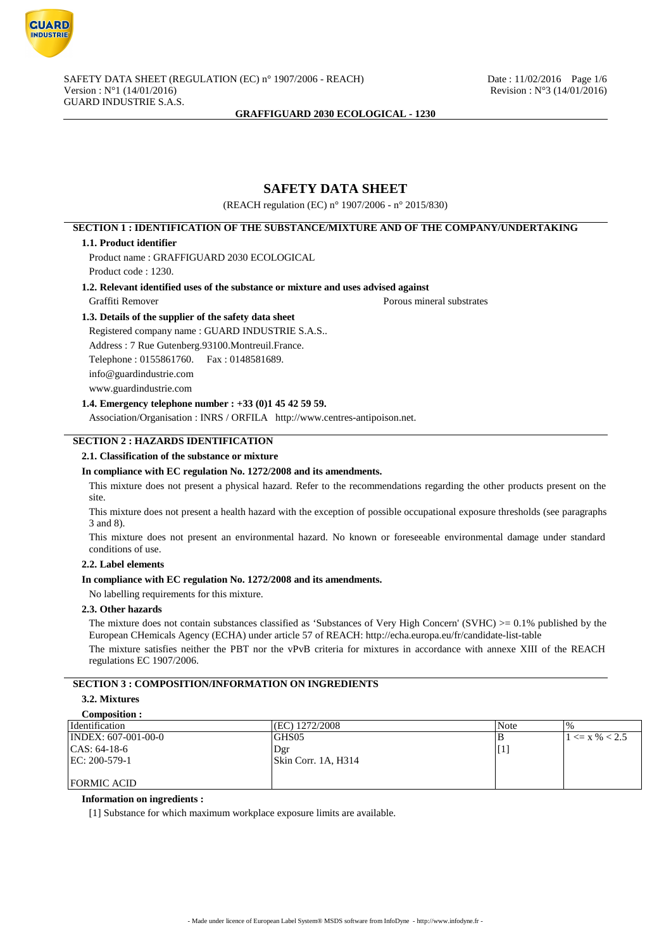

# **SAFETY DATA SHEET**

(REACH regulation (EC) n° 1907/2006 - n° 2015/830)

# **SECTION 1 : IDENTIFICATION OF THE SUBSTANCE/MIXTURE AND OF THE COMPANY/UNDERTAKING**

### **1.1. Product identifier**

Product name : GRAFFIGUARD 2030 ECOLOGICAL

Product code : 1230.

### **1.2. Relevant identified uses of the substance or mixture and uses advised against**

Graffiti Remover **Porous mineral substrates** 

### **1.3. Details of the supplier of the safety data sheet**

Registered company name : GUARD INDUSTRIE S.A.S.. Address : 7 Rue Gutenberg.93100.Montreuil.France. Telephone : 0155861760. Fax : 0148581689. info@guardindustrie.com www.guardindustrie.com

### **1.4. Emergency telephone number : +33 (0)1 45 42 59 59.**

Association/Organisation : INRS / ORFILA http://www.centres-antipoison.net.

## **SECTION 2 : HAZARDS IDENTIFICATION**

### **2.1. Classification of the substance or mixture**

### **In compliance with EC regulation No. 1272/2008 and its amendments.**

This mixture does not present a physical hazard. Refer to the recommendations regarding the other products present on the site.

This mixture does not present a health hazard with the exception of possible occupational exposure thresholds (see paragraphs 3 and 8).

This mixture does not present an environmental hazard. No known or foreseeable environmental damage under standard conditions of use.

### **2.2. Label elements**

### **In compliance with EC regulation No. 1272/2008 and its amendments.**

No labelling requirements for this mixture.

## **2.3. Other hazards**

The mixture does not contain substances classified as 'Substances of Very High Concern' (SVHC)  $>= 0.1\%$  published by the European CHemicals Agency (ECHA) under article 57 of REACH: http://echa.europa.eu/fr/candidate-list-table

The mixture satisfies neither the PBT nor the vPvB criteria for mixtures in accordance with annexe XIII of the REACH regulations EC 1907/2006.

# **SECTION 3 : COMPOSITION/INFORMATION ON INGREDIENTS**

#### **3.2. Mixtures Composition :**

| COMPOSITION :                 |                     |                 |                       |
|-------------------------------|---------------------|-----------------|-----------------------|
| Identification                | (EC) 1272/2008      | Note            | $\%$                  |
| $\text{INDEX: } 607-001-00-0$ | GHS05               | в               | $1 \le x \, \% < 2.5$ |
| $ CAS: 64-18-6$               | Dgr                 | $\mathsf{I}[1]$ |                       |
| $ EC: 200-579-1$              | Skin Corr. 1A, H314 |                 |                       |
|                               |                     |                 |                       |
| <b>FORMIC ACID</b>            |                     |                 |                       |

### **Information on ingredients :**

[1] Substance for which maximum workplace exposure limits are available.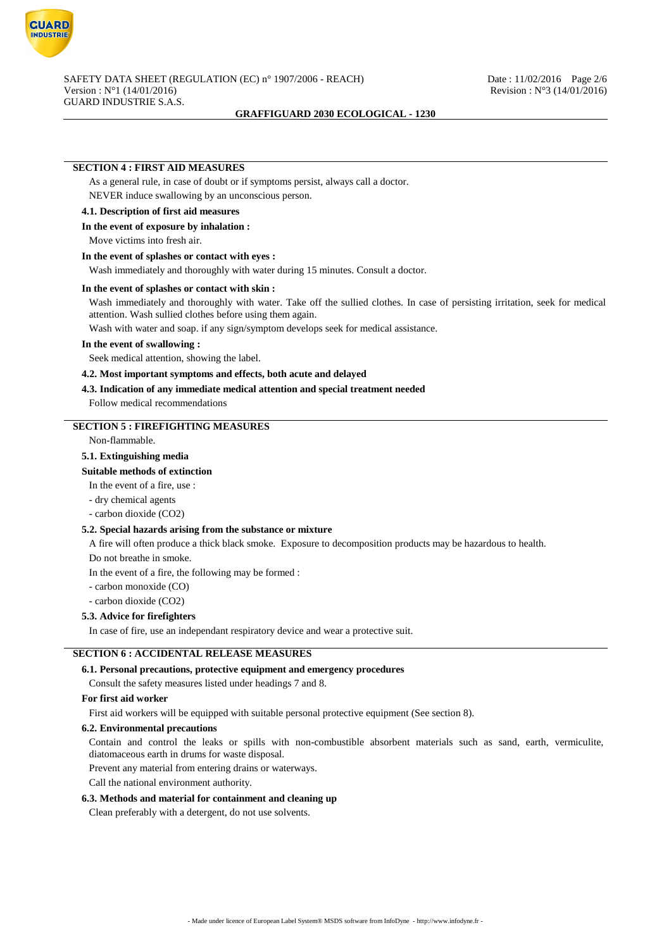

### **SECTION 4 : FIRST AID MEASURES**

As a general rule, in case of doubt or if symptoms persist, always call a doctor. NEVER induce swallowing by an unconscious person.

#### **4.1. Description of first aid measures**

#### **In the event of exposure by inhalation :**

Move victims into fresh air.

### **In the event of splashes or contact with eyes :**

Wash immediately and thoroughly with water during 15 minutes. Consult a doctor.

### **In the event of splashes or contact with skin :**

Wash immediately and thoroughly with water. Take off the sullied clothes. In case of persisting irritation, seek for medical attention. Wash sullied clothes before using them again.

Wash with water and soap. if any sign/symptom develops seek for medical assistance.

### **In the event of swallowing :**

Seek medical attention, showing the label.

**4.2. Most important symptoms and effects, both acute and delayed**

### **4.3. Indication of any immediate medical attention and special treatment needed**

Follow medical recommendations

### **SECTION 5 : FIREFIGHTING MEASURES**

Non-flammable.

### **5.1. Extinguishing media**

**Suitable methods of extinction**

- In the event of a fire, use :
- dry chemical agents
- carbon dioxide (CO2)

### **5.2. Special hazards arising from the substance or mixture**

A fire will often produce a thick black smoke. Exposure to decomposition products may be hazardous to health.

Do not breathe in smoke.

In the event of a fire, the following may be formed :

- carbon monoxide (CO)

- carbon dioxide (CO2)

### **5.3. Advice for firefighters**

In case of fire, use an independant respiratory device and wear a protective suit.

### **SECTION 6 : ACCIDENTAL RELEASE MEASURES**

### **6.1. Personal precautions, protective equipment and emergency procedures**

Consult the safety measures listed under headings 7 and 8.

#### **For first aid worker**

First aid workers will be equipped with suitable personal protective equipment (See section 8).

### **6.2. Environmental precautions**

Contain and control the leaks or spills with non-combustible absorbent materials such as sand, earth, vermiculite, diatomaceous earth in drums for waste disposal.

Prevent any material from entering drains or waterways.

Call the national environment authority.

#### **6.3. Methods and material for containment and cleaning up**

Clean preferably with a detergent, do not use solvents.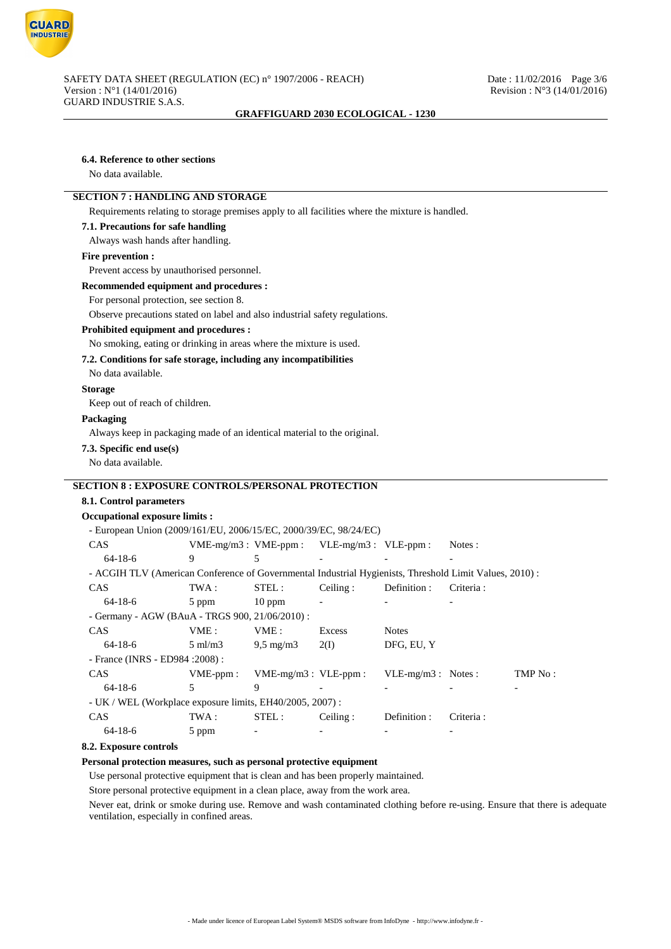

| 6.4. Reference to other sections                                                                        |                    |                           |                           |                     |           |         |
|---------------------------------------------------------------------------------------------------------|--------------------|---------------------------|---------------------------|---------------------|-----------|---------|
| No data available.                                                                                      |                    |                           |                           |                     |           |         |
| <b>SECTION 7: HANDLING AND STORAGE</b>                                                                  |                    |                           |                           |                     |           |         |
| Requirements relating to storage premises apply to all facilities where the mixture is handled.         |                    |                           |                           |                     |           |         |
| 7.1. Precautions for safe handling                                                                      |                    |                           |                           |                     |           |         |
| Always wash hands after handling.                                                                       |                    |                           |                           |                     |           |         |
| Fire prevention :                                                                                       |                    |                           |                           |                     |           |         |
| Prevent access by unauthorised personnel.                                                               |                    |                           |                           |                     |           |         |
| Recommended equipment and procedures :                                                                  |                    |                           |                           |                     |           |         |
| For personal protection, see section 8.                                                                 |                    |                           |                           |                     |           |         |
| Observe precautions stated on label and also industrial safety regulations.                             |                    |                           |                           |                     |           |         |
| <b>Prohibited equipment and procedures :</b>                                                            |                    |                           |                           |                     |           |         |
| No smoking, eating or drinking in areas where the mixture is used.                                      |                    |                           |                           |                     |           |         |
| 7.2. Conditions for safe storage, including any incompatibilities                                       |                    |                           |                           |                     |           |         |
| No data available.                                                                                      |                    |                           |                           |                     |           |         |
| <b>Storage</b>                                                                                          |                    |                           |                           |                     |           |         |
| Keep out of reach of children.                                                                          |                    |                           |                           |                     |           |         |
| Packaging                                                                                               |                    |                           |                           |                     |           |         |
| Always keep in packaging made of an identical material to the original.                                 |                    |                           |                           |                     |           |         |
| 7.3. Specific end use(s)                                                                                |                    |                           |                           |                     |           |         |
| No data available.                                                                                      |                    |                           |                           |                     |           |         |
| <b>SECTION 8 : EXPOSURE CONTROLS/PERSONAL PROTECTION</b>                                                |                    |                           |                           |                     |           |         |
|                                                                                                         |                    |                           |                           |                     |           |         |
| 8.1. Control parameters<br><b>Occupational exposure limits:</b>                                         |                    |                           |                           |                     |           |         |
| - European Union (2009/161/EU, 2006/15/EC, 2000/39/EC, 98/24/EC)                                        |                    |                           |                           |                     |           |         |
| CAS                                                                                                     |                    | $VME-mg/m3:VME-ppm:$      | $VLE-mg/m3$ : $VLE-ppm$ : |                     | Notes :   |         |
| $64 - 18 - 6$                                                                                           | 9                  | 5                         |                           |                     |           |         |
| - ACGIH TLV (American Conference of Governmental Industrial Hygienists, Threshold Limit Values, 2010) : |                    |                           |                           |                     |           |         |
| CAS                                                                                                     | TWA:               | STEL:                     | Ceiling:                  | Definition:         | Criteria: |         |
| $64 - 18 - 6$                                                                                           | 5 ppm              | $10$ ppm                  |                           |                     |           |         |
| - Germany - AGW (BAuA - TRGS 900, 21/06/2010) :                                                         |                    |                           |                           |                     |           |         |
| CAS                                                                                                     | VME:               | VME:                      | Excess                    | <b>Notes</b>        |           |         |
| $64 - 18 - 6$                                                                                           | $5 \text{ ml/m}$ 3 | $9.5 \text{ mg/m}$        | 2(I)                      | DFG, EU, Y          |           |         |
| - France (INRS - ED984 : 2008) :                                                                        |                    |                           |                           |                     |           |         |
| CAS                                                                                                     | VME-ppm:           | $VME-mg/m3$ : $VLE-ppm$ : |                           | VLE-mg/m3 : Notes : |           | TMP No: |
| $64 - 18 - 6$                                                                                           | 5                  | 9                         |                           |                     |           |         |
| - UK / WEL (Workplace exposure limits, EH40/2005, 2007) :                                               |                    |                           |                           |                     |           |         |
| CAS                                                                                                     | TWA:               | STEL:                     | Ceiling:                  | Definition :        | Criteria: |         |
| $64 - 18 - 6$                                                                                           | 5 ppm              | $\overline{\phantom{a}}$  | $\overline{a}$            |                     |           |         |

## **8.2. Exposure controls**

### **Personal protection measures, such as personal protective equipment**

Use personal protective equipment that is clean and has been properly maintained.

Store personal protective equipment in a clean place, away from the work area.

Never eat, drink or smoke during use. Remove and wash contaminated clothing before re-using. Ensure that there is adequate ventilation, especially in confined areas.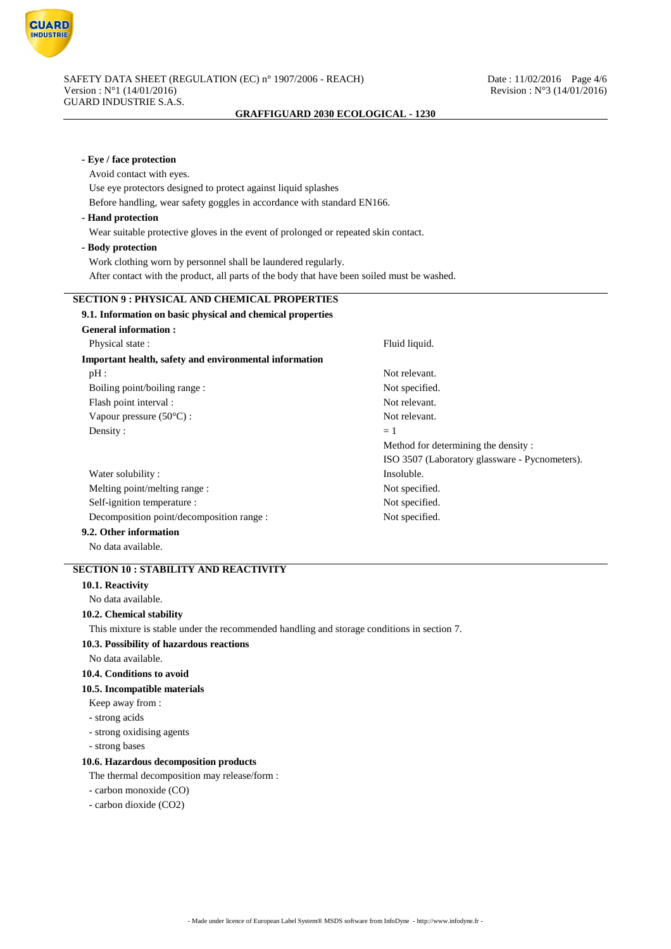

| - Eye / face protection                                                                     |                                                |
|---------------------------------------------------------------------------------------------|------------------------------------------------|
| Avoid contact with eyes.                                                                    |                                                |
| Use eye protectors designed to protect against liquid splashes                              |                                                |
| Before handling, wear safety goggles in accordance with standard EN166.                     |                                                |
| - Hand protection                                                                           |                                                |
| Wear suitable protective gloves in the event of prolonged or repeated skin contact.         |                                                |
| - Body protection                                                                           |                                                |
| Work clothing worn by personnel shall be laundered regularly.                               |                                                |
| After contact with the product, all parts of the body that have been soiled must be washed. |                                                |
| <b>SECTION 9: PHYSICAL AND CHEMICAL PROPERTIES</b>                                          |                                                |
| 9.1. Information on basic physical and chemical properties                                  |                                                |
| <b>General information:</b>                                                                 |                                                |
| Physical state:                                                                             | Fluid liquid.                                  |
| Important health, safety and environmental information                                      |                                                |
| $pH$ :                                                                                      | Not relevant.                                  |
| Boiling point/boiling range :                                                               | Not specified.                                 |
| Flash point interval :                                                                      | Not relevant.                                  |
| Vapour pressure $(50^{\circ}C)$ :                                                           | Not relevant.                                  |
| Density:                                                                                    | $=1$                                           |
|                                                                                             | Method for determining the density:            |
|                                                                                             | ISO 3507 (Laboratory glassware - Pycnometers). |
| Water solubility:                                                                           | Insoluble.                                     |
| Melting point/melting range:                                                                | Not specified.                                 |
| Self-ignition temperature :                                                                 | Not specified.                                 |
| Decomposition point/decomposition range :                                                   | Not specified.                                 |
| 9.2. Other information                                                                      |                                                |
| No data available.                                                                          |                                                |
| <b>SECTION 10: STABILITY AND REACTIVITY</b>                                                 |                                                |
| 10.1. Reactivity                                                                            |                                                |
| No data available.                                                                          |                                                |
| 10.2. Chemical stability                                                                    |                                                |
| This mixture is stable under the recommended handling and storage conditions in section 7.  |                                                |
| 10.3. Possibility of hazardous reactions                                                    |                                                |
| No data available.                                                                          |                                                |
| 10.4. Conditions to avoid                                                                   |                                                |
| 10.5. Incompatible materials                                                                |                                                |
| Keep away from:                                                                             |                                                |
| - strong acids                                                                              |                                                |
| - strong oxidising agents                                                                   |                                                |
| - strong bases                                                                              |                                                |
| 10.6. Hazardous decomposition products                                                      |                                                |
| The thermal decomposition may release/form :                                                |                                                |
| - carbon monoxide (CO)                                                                      |                                                |
| - carbon dioxide (CO2)                                                                      |                                                |
|                                                                                             |                                                |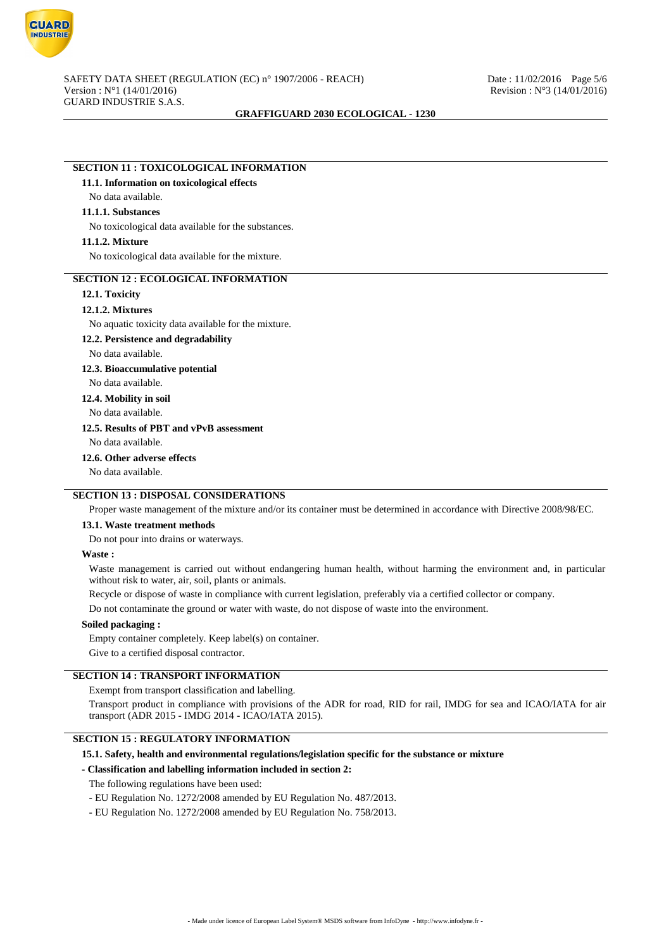

## **SECTION 11 : TOXICOLOGICAL INFORMATION**

### **11.1. Information on toxicological effects**

## No data available.

### **11.1.1. Substances**

No toxicological data available for the substances.

### **11.1.2. Mixture**

No toxicological data available for the mixture.

## **SECTION 12 : ECOLOGICAL INFORMATION**

### **12.1. Toxicity**

#### **12.1.2. Mixtures**

No aquatic toxicity data available for the mixture.

### **12.2. Persistence and degradability**

No data available.

### **12.3. Bioaccumulative potential**

No data available.

**12.4. Mobility in soil**

No data available.

# **12.5. Results of PBT and vPvB assessment**

No data available.

#### **12.6. Other adverse effects**

No data available.

### **SECTION 13 : DISPOSAL CONSIDERATIONS**

Proper waste management of the mixture and/or its container must be determined in accordance with Directive 2008/98/EC.

### **13.1. Waste treatment methods**

Do not pour into drains or waterways.

### **Waste :**

Waste management is carried out without endangering human health, without harming the environment and, in particular without risk to water, air, soil, plants or animals.

Recycle or dispose of waste in compliance with current legislation, preferably via a certified collector or company.

Do not contaminate the ground or water with waste, do not dispose of waste into the environment.

### **Soiled packaging :**

Empty container completely. Keep label(s) on container.

Give to a certified disposal contractor.

## **SECTION 14 : TRANSPORT INFORMATION**

Exempt from transport classification and labelling.

Transport product in compliance with provisions of the ADR for road, RID for rail, IMDG for sea and ICAO/IATA for air transport (ADR 2015 - IMDG 2014 - ICAO/IATA 2015).

# **SECTION 15 : REGULATORY INFORMATION**

#### **15.1. Safety, health and environmental regulations/legislation specific for the substance or mixture**

### **- Classification and labelling information included in section 2:**

The following regulations have been used:

- EU Regulation No. 1272/2008 amended by EU Regulation No. 487/2013.
- EU Regulation No. 1272/2008 amended by EU Regulation No. 758/2013.